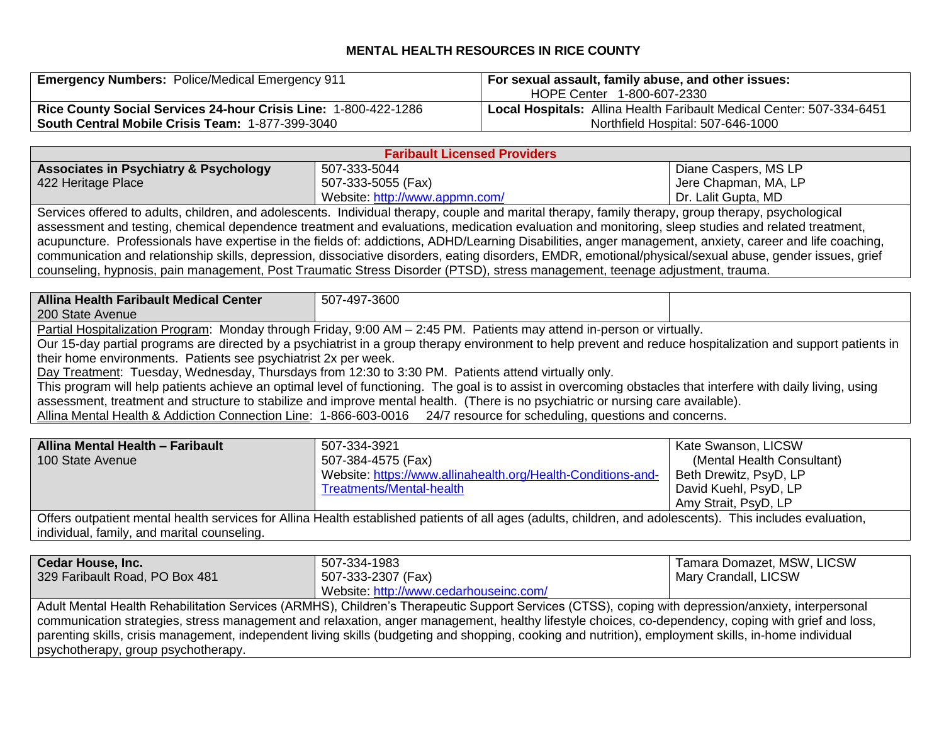## **MENTAL HEALTH RESOURCES IN RICE COUNTY**

| <b>Emergency Numbers: Police/Medical Emergency 911</b>          | <sup>1</sup> For sexual assault, family abuse, and other issues:<br>HOPE Center 1-800-607-2330 |  |
|-----------------------------------------------------------------|------------------------------------------------------------------------------------------------|--|
| Rice County Social Services 24-hour Crisis Line: 1-800-422-1286 | Local Hospitals: Allina Health Faribault Medical Center: 507-334-6451                          |  |
| <b>South Central Mobile Crisis Team: 1-877-399-3040</b>         | Northfield Hospital: 507-646-1000                                                              |  |

| <b>Faribault Licensed Providers</b>                                                                                                                 |                                |                      |
|-----------------------------------------------------------------------------------------------------------------------------------------------------|--------------------------------|----------------------|
| <b>Associates in Psychiatry &amp; Psychology</b>                                                                                                    | 507-333-5044                   | Diane Caspers, MS LP |
| 422 Heritage Place                                                                                                                                  | 507-333-5055 (Fax)             | Jere Chapman, MA, LP |
|                                                                                                                                                     | Website: http://www.appmn.com/ | Dr. Lalit Gupta, MD  |
| Services offered to adults, children, and adolescents. Individual therapy, couple and marital therapy, family therapy, group therapy, psychological |                                |                      |

assessment and testing, chemical dependence treatment and evaluations, medication evaluation and monitoring, sleep studies and related treatment, acupuncture. Professionals have expertise in the fields of: addictions, ADHD/Learning Disabilities, anger management, anxiety, career and life coaching, communication and relationship skills, depression, dissociative disorders, eating disorders, EMDR, emotional/physical/sexual abuse, gender issues, grief counseling, hypnosis, pain management, Post Traumatic Stress Disorder (PTSD), stress management, teenage adjustment, trauma.

**Allina Health Faribault Medical Center** 200 State Avenue 507-497-3600 Partial Hospitalization Program:Monday through Friday, 9:00 AM – 2:45 PM. Patients may attend in-person or virtually. Our 15-day partial programs are directed by a psychiatrist in a group therapy environment to help prevent and reduce hospitalization and support patients in their home environments. Patients see psychiatrist 2x per week. Day Treatment: Tuesday, Wednesday, Thursdays from 12:30 to 3:30 PM. Patients attend virtually only. This program will help patients achieve an optimal level of functioning. The goal is to assist in overcoming obstacles that interfere with daily living, using

assessment, treatment and structure to stabilize and improve mental health. (There is no psychiatric or nursing care available).

Allina Mental Health & Addiction Connection Line: 1-866-603-0016 24/7 resource for scheduling, questions and concerns.

| <b>Allina Mental Health - Faribault</b><br>100 State Avenue                                                                                                | 507-334-3921<br>507-384-4575 (Fax)                           | Kate Swanson, LICSW<br>(Mental Health Consultant) |
|------------------------------------------------------------------------------------------------------------------------------------------------------------|--------------------------------------------------------------|---------------------------------------------------|
|                                                                                                                                                            | Website: https://www.allinahealth.org/Health-Conditions-and- | Beth Drewitz, PsyD, LP                            |
|                                                                                                                                                            | Treatments/Mental-health                                     | David Kuehl, PsyD, LP                             |
|                                                                                                                                                            |                                                              | Amy Strait, PsyD, LP                              |
| Offers outpatient mental health services for Allina Health established patients of all ages (adults, children, and adolescents). This includes evaluation, |                                                              |                                                   |

individual, family, and marital counseling.

| <b>Cedar House, Inc.</b>                                                                                                                              | 507-334-1983                                                                                                                                        | Tamara Domazet, MSW, LICSW |
|-------------------------------------------------------------------------------------------------------------------------------------------------------|-----------------------------------------------------------------------------------------------------------------------------------------------------|----------------------------|
| 329 Faribault Road, PO Box 481                                                                                                                        | 507-333-2307 (Fax)                                                                                                                                  | Mary Crandall, LICSW       |
|                                                                                                                                                       | Website: http://www.cedarhouseinc.com/                                                                                                              |                            |
| Adult Mental Health Rehabilitation Services (ARMHS), Children's Therapeutic Support Services (CTSS), coping with depression/anxiety, interpersonal    |                                                                                                                                                     |                            |
|                                                                                                                                                       | communication strategies, stress management and relaxation, anger management, healthy lifestyle choices, co-dependency, coping with grief and loss, |                            |
| parenting skills, crisis management, independent living skills (budgeting and shopping, cooking and nutrition), employment skills, in-home individual |                                                                                                                                                     |                            |
| psychotherapy, group psychotherapy.                                                                                                                   |                                                                                                                                                     |                            |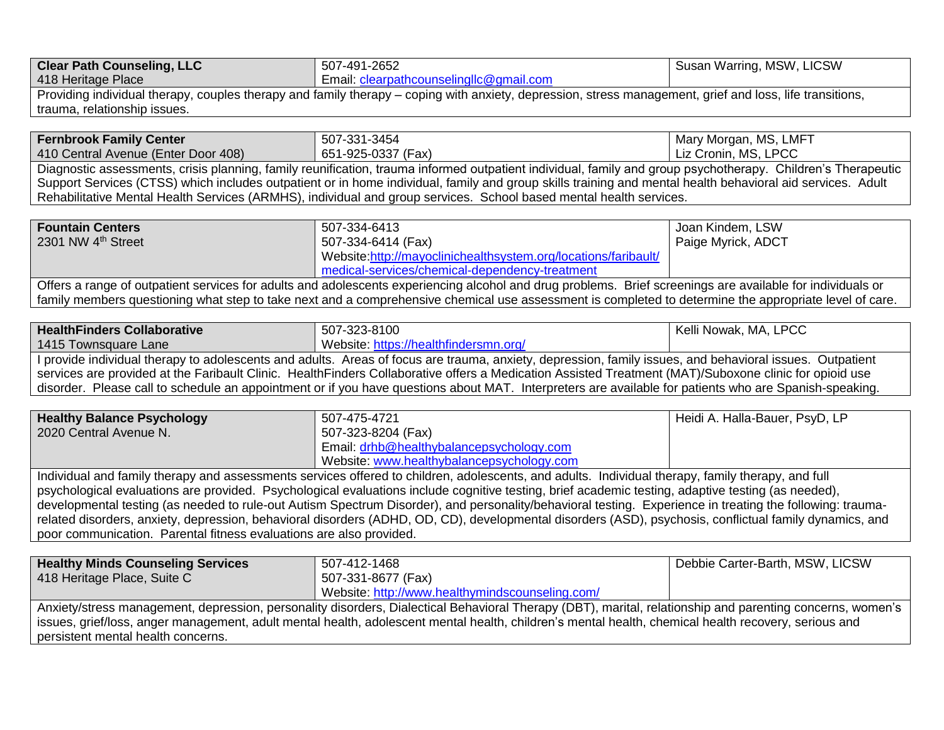| <b>Clear Path Counseling, LLC</b>                                                                                                                        | 507-491-2652                            | Susan Warring, MSW, LICSW |
|----------------------------------------------------------------------------------------------------------------------------------------------------------|-----------------------------------------|---------------------------|
| 418 Heritage Place                                                                                                                                       | Email: clearpathcounselingllc@gmail.com |                           |
| Providing individual therapy, couples therapy and family therapy – coping with anxiety, depression, stress management, grief and loss, life transitions, |                                         |                           |
| trauma, relationship issues.                                                                                                                             |                                         |                           |
|                                                                                                                                                          |                                         |                           |

| <b>Fernbrook Family Center</b>      | 507-331-3454                                                                                                                                                 | Mary Morgan, MS, LMFT |
|-------------------------------------|--------------------------------------------------------------------------------------------------------------------------------------------------------------|-----------------------|
| 410 Central Avenue (Enter Door 408) | 651-925-0337 (Fax)                                                                                                                                           | Liz Cronin, MS, LPCC  |
|                                     | Diagnostic assessments, crisis planning, family reunification, trauma informed outpatient individual, family and group psychotherapy. Children's Therapeutic |                       |

Support Services (CTSS) which includes outpatient or in home individual, family and group skills training and mental health behavioral aid services. Adult Rehabilitative Mental Health Services (ARMHS), individual and group services. School based mental health services.

| <b>Fountain Centers</b>        | 507-334-6413                                                                                                                                               | Joan Kindem, LSW   |
|--------------------------------|------------------------------------------------------------------------------------------------------------------------------------------------------------|--------------------|
| 2301 NW 4 <sup>th</sup> Street | 507-334-6414 (Fax)                                                                                                                                         | Paige Myrick, ADCT |
|                                | Website:http://mayoclinichealthsystem.org/locations/faribault/                                                                                             |                    |
|                                | medical-services/chemical-dependency-treatment                                                                                                             |                    |
|                                | Offers a range of outpatient services for adults and adolescents experiencing alcohol and drug problems. Brief screenings are available for individuals or |                    |
|                                | family members questioning what step to take next and a comprehensive chemical use assessment is completed to determine the appropriate level of care.     |                    |

| <b>HealthFinders Collaborative</b> | 507-323-8100                                                                                                                                  | Kelli Nowak, MA, LPCC |
|------------------------------------|-----------------------------------------------------------------------------------------------------------------------------------------------|-----------------------|
| 1415 Townsquare Lane               | Website: https://healthfindersmn.org/                                                                                                         |                       |
|                                    | I provide individual therapy to adolescents and adults. Areas of focus are trauma, anxiety, depression, family issues, and behavioral issues. | Outpatient            |

services are provided at the Faribault Clinic. HealthFinders Collaborative offers a Medication Assisted Treatment (MAT)/Suboxone clinic for opioid use disorder. Please call to schedule an appointment or if you have questions about MAT. Interpreters are available for patients who are Spanish-speaking.

| <b>Healthy Balance Psychology</b>                                                                                                                 | 507-475-4721                              | Heidi A. Halla-Bauer, PsyD, LP |
|---------------------------------------------------------------------------------------------------------------------------------------------------|-------------------------------------------|--------------------------------|
| 2020 Central Avenue N.                                                                                                                            | 507-323-8204 (Fax)                        |                                |
|                                                                                                                                                   | Email: drhb@healthybalancepsychology.com  |                                |
|                                                                                                                                                   | Website: www.healthybalancepsychology.com |                                |
| Individual and family therapy and assessments services offered to children, adolescents, and adults. Individual therapy, family therapy, and full |                                           |                                |

psychological evaluations are provided. Psychological evaluations include cognitive testing, brief academic testing, adaptive testing (as needed), developmental testing (as needed to rule-out Autism Spectrum Disorder), and personality/behavioral testing. Experience in treating the following: traumarelated disorders, anxiety, depression, behavioral disorders (ADHD, OD, CD), developmental disorders (ASD), psychosis, conflictual family dynamics, and poor communication. Parental fitness evaluations are also provided.

| <b>Healthy Minds Counseling Services</b> | 507-412-1468                                                                                                                                              | Debbie Carter-Barth, MSW, LICSW |
|------------------------------------------|-----------------------------------------------------------------------------------------------------------------------------------------------------------|---------------------------------|
| 418 Heritage Place, Suite C              | 507-331-8677 (Fax)                                                                                                                                        |                                 |
|                                          | Website: http://www.healthymindscounseling.com/                                                                                                           |                                 |
|                                          | Anxiety/stress management, depression, personality disorders, Dialectical Behavioral Therapy (DBT), marital, relationship and parenting concerns, women's |                                 |
|                                          | issues, grief/loss, anger management, adult mental health, adolescent mental health, children's mental health, chemical health recovery, serious and      |                                 |
| persistent mental health concerns.       |                                                                                                                                                           |                                 |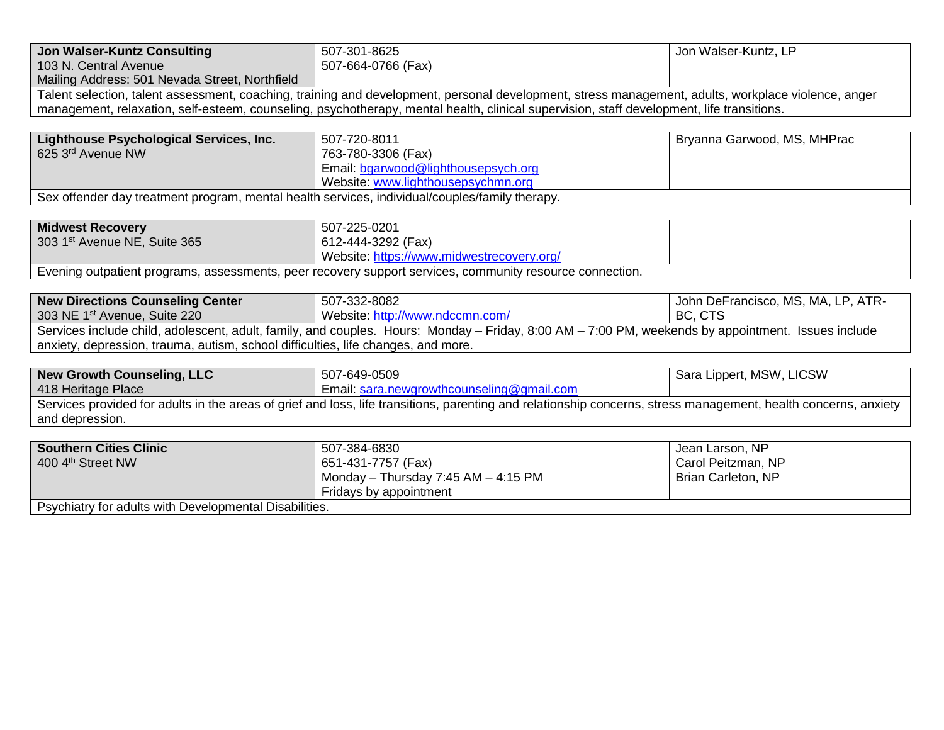| <b>Jon Walser-Kuntz Consulting</b>                                                             | 507-301-8625                                                                                                                                                    | Jon Walser-Kuntz, LP               |
|------------------------------------------------------------------------------------------------|-----------------------------------------------------------------------------------------------------------------------------------------------------------------|------------------------------------|
| 103 N. Central Avenue                                                                          | 507-664-0766 (Fax)                                                                                                                                              |                                    |
| Mailing Address: 501 Nevada Street, Northfield                                                 |                                                                                                                                                                 |                                    |
|                                                                                                | Talent selection, talent assessment, coaching, training and development, personal development, stress management, adults, workplace violence, anger             |                                    |
|                                                                                                | management, relaxation, self-esteem, counseling, psychotherapy, mental health, clinical supervision, staff development, life transitions.                       |                                    |
|                                                                                                |                                                                                                                                                                 |                                    |
| Lighthouse Psychological Services, Inc.                                                        | 507-720-8011                                                                                                                                                    | Bryanna Garwood, MS, MHPrac        |
| 625 3rd Avenue NW                                                                              | 763-780-3306 (Fax)                                                                                                                                              |                                    |
|                                                                                                | Email: bgarwood@lighthousepsych.org                                                                                                                             |                                    |
|                                                                                                | Website: www.lighthousepsychmn.org                                                                                                                              |                                    |
| Sex offender day treatment program, mental health services, individual/couples/family therapy. |                                                                                                                                                                 |                                    |
|                                                                                                |                                                                                                                                                                 |                                    |
| <b>Midwest Recovery</b>                                                                        | 507-225-0201                                                                                                                                                    |                                    |
| 303 1st Avenue NE, Suite 365                                                                   | 612-444-3292 (Fax)                                                                                                                                              |                                    |
|                                                                                                | Website: https://www.midwestrecovery.org/                                                                                                                       |                                    |
|                                                                                                | Evening outpatient programs, assessments, peer recovery support services, community resource connection.                                                        |                                    |
|                                                                                                |                                                                                                                                                                 |                                    |
| <b>New Directions Counseling Center</b>                                                        | 507-332-8082                                                                                                                                                    | John DeFrancisco, MS, MA, LP, ATR- |
| 303 NE 1 <sup>st</sup> Avenue, Suite 220                                                       | Website: http://www.ndccmn.com/                                                                                                                                 | BC, CTS                            |
|                                                                                                | Services include child, adolescent, adult, family, and couples. Hours: Monday - Friday, 8:00 AM - 7:00 PM, weekends by appointment. Issues include              |                                    |
| anxiety, depression, trauma, autism, school difficulties, life changes, and more.              |                                                                                                                                                                 |                                    |
|                                                                                                |                                                                                                                                                                 |                                    |
| <b>New Growth Counseling, LLC</b>                                                              | 507-649-0509                                                                                                                                                    | Sara Lippert, MSW, LICSW           |
| 418 Heritage Place                                                                             | Email: sara.newgrowthcounseling@gmail.com                                                                                                                       |                                    |
|                                                                                                | Services provided for adults in the areas of grief and loss, life transitions, parenting and relationship concerns, stress management, health concerns, anxiety |                                    |
| and depression.                                                                                |                                                                                                                                                                 |                                    |
|                                                                                                |                                                                                                                                                                 |                                    |
| <b>Southern Cities Clinic</b>                                                                  | 507-384-6830                                                                                                                                                    | Jean Larson, NP                    |
| 400 4th Street NW                                                                              | 651-431-7757 (Fax)                                                                                                                                              | Carol Peitzman, NP                 |
|                                                                                                | Monday - Thursday 7:45 AM - 4:15 PM                                                                                                                             | Brian Carleton, NP                 |
|                                                                                                |                                                                                                                                                                 |                                    |
| Psychiatry for adults with Developmental Disabilities.                                         | Fridays by appointment                                                                                                                                          |                                    |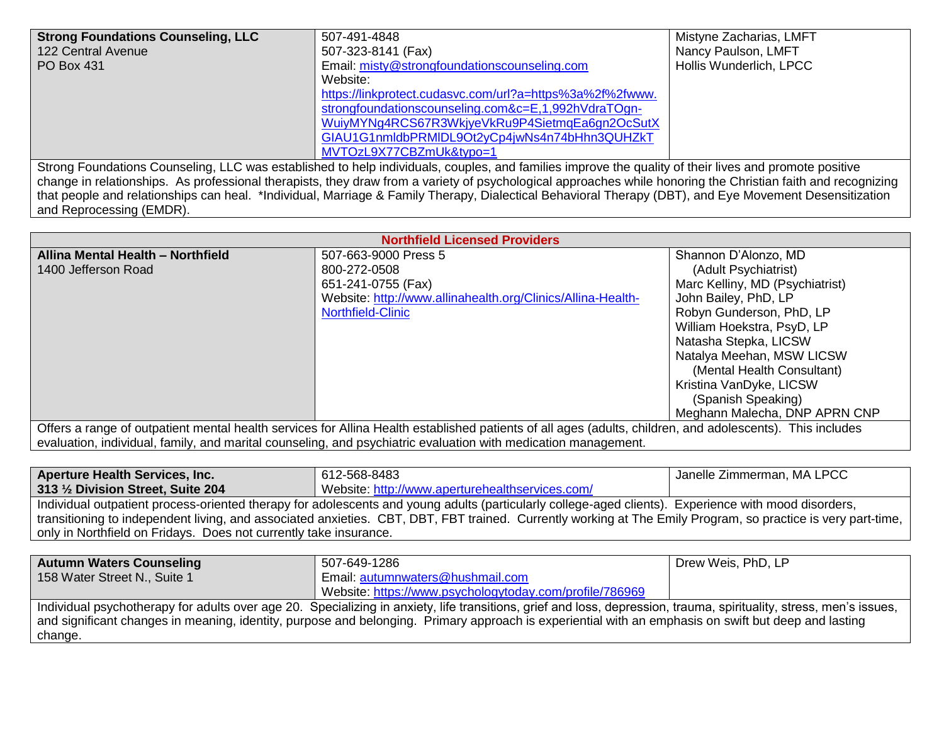| <b>Strong Foundations Counseling, LLC</b> | 507-491-4848                                                                                                                                                 | Mistyne Zacharias, LMFT |
|-------------------------------------------|--------------------------------------------------------------------------------------------------------------------------------------------------------------|-------------------------|
| 122 Central Avenue                        | 507-323-8141 (Fax)                                                                                                                                           | Nancy Paulson, LMFT     |
| PO Box 431                                | Email: misty@strongfoundationscounseling.com                                                                                                                 | Hollis Wunderlich, LPCC |
|                                           | Website:                                                                                                                                                     |                         |
|                                           | https://linkprotect.cudasvc.com/url?a=https%3a%2f%2fwww.                                                                                                     |                         |
|                                           | strongfoundationscounseling.com&c=E,1,992hVdraTOgn-                                                                                                          |                         |
|                                           | WuiyMYNg4RCS67R3WkjyeVkRu9P4SietmqEa6gn2OcSutX                                                                                                               |                         |
|                                           | GIAU1G1nmldbPRMIDL9Ot2yCp4jwNs4n74bHhn3QUHZkT                                                                                                                |                         |
|                                           | MVTOzL9X77CBZmUk&typo=1                                                                                                                                      |                         |
|                                           | Strong Foundations Counseling, LLC was established to help individuals, couples, and families improve the quality of their lives and promote positive        |                         |
|                                           | change in relationships. As professional therapists, they draw from a variety of psychological approaches while honoring the Christian faith and recognizing |                         |
|                                           | that people and relationships can heal. *Individual, Marriage & Family Therapy, Dialectical Behavioral Therapy (DBT), and Eye Movement Desensitization       |                         |

and Reprocessing (EMDR).

| <b>Northfield Licensed Providers</b>                                                                                                                      |                                                             |                                 |
|-----------------------------------------------------------------------------------------------------------------------------------------------------------|-------------------------------------------------------------|---------------------------------|
| Allina Mental Health - Northfield                                                                                                                         | 507-663-9000 Press 5                                        | Shannon D'Alonzo, MD            |
| 1400 Jefferson Road                                                                                                                                       | 800-272-0508                                                | (Adult Psychiatrist)            |
|                                                                                                                                                           | 651-241-0755 (Fax)                                          | Marc Kelliny, MD (Psychiatrist) |
|                                                                                                                                                           | Website: http://www.allinahealth.org/Clinics/Allina-Health- | John Bailey, PhD, LP            |
|                                                                                                                                                           | Northfield-Clinic                                           | Robyn Gunderson, PhD, LP        |
|                                                                                                                                                           |                                                             | William Hoekstra, PsyD, LP      |
|                                                                                                                                                           |                                                             | Natasha Stepka, LICSW           |
|                                                                                                                                                           |                                                             | Natalya Meehan, MSW LICSW       |
|                                                                                                                                                           |                                                             | (Mental Health Consultant)      |
|                                                                                                                                                           |                                                             | Kristina VanDyke, LICSW         |
|                                                                                                                                                           |                                                             | (Spanish Speaking)              |
|                                                                                                                                                           |                                                             | Meghann Malecha, DNP APRN CNP   |
| Offers a range of outpatient mental health services for Allina Health established patients of all ages (adults, children, and adolescents). This includes |                                                             |                                 |
| evaluation, individual, family, and marital counseling, and psychiatric evaluation with medication management.                                            |                                                             |                                 |

| <b>Aperture Health Services, Inc.</b>                             | 612-568-8483                                                                                                                                                        | Janelle Zimmerman, MA LPCC |
|-------------------------------------------------------------------|---------------------------------------------------------------------------------------------------------------------------------------------------------------------|----------------------------|
| 313 1/2 Division Street, Suite 204                                | Website: http://www.aperturehealthservices.com/                                                                                                                     |                            |
|                                                                   | Individual outpatient process-oriented therapy for adolescents and young adults (particularly college-aged clients). Experience with mood disorders,                |                            |
|                                                                   | transitioning to independent living, and associated anxieties. CBT, DBT, FBT trained. Currently working at The Emily Program, so practice is very part-time,        |                            |
| only in Northfield on Fridays. Does not currently take insurance. |                                                                                                                                                                     |                            |
|                                                                   |                                                                                                                                                                     |                            |
| <b>Autumn Waters Counseling</b>                                   | 507-649-1286                                                                                                                                                        | Drew Weis, PhD, LP         |
| 158 Water Street N., Suite 1                                      | Email: autumnwaters@hushmail.com                                                                                                                                    |                            |
|                                                                   | Website: https://www.psychologytoday.com/profile/786969                                                                                                             |                            |
|                                                                   | Individual psychotherapy for adults over age 20. Specializing in anxiety, life transitions, grief and loss, depression, trauma, spirituality, stress, men's issues, |                            |

and significant changes in meaning, identity, purpose and belonging. Primary approach is experiential with an emphasis on swift but deep and lasting change.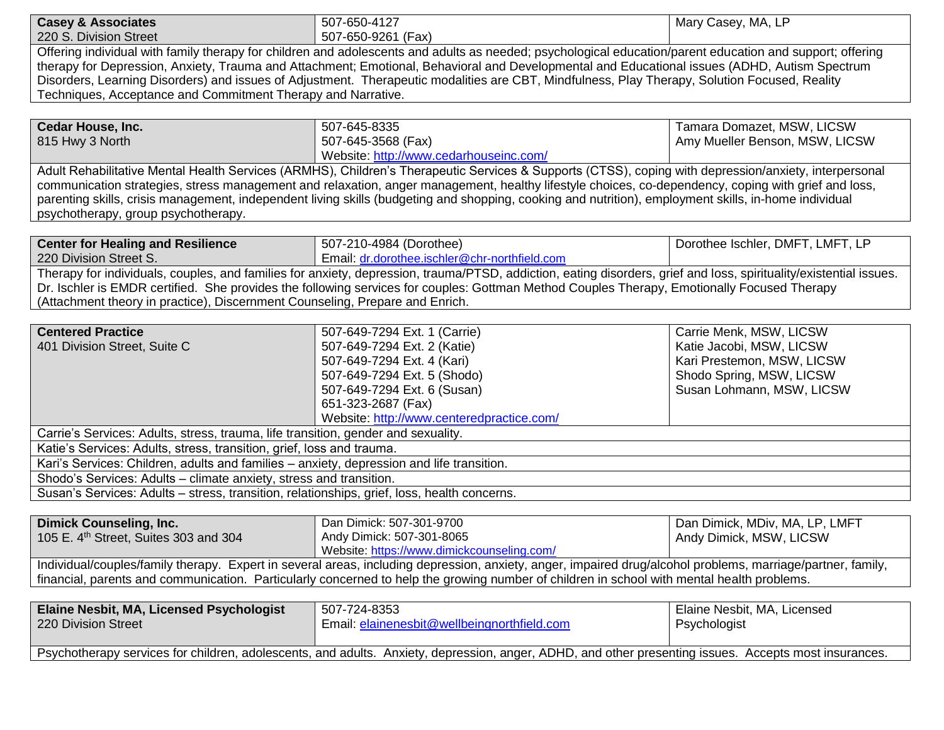| <b>Casey &amp; Associates</b>                                                               | 507-650-4127                                                                                                                                                       | Mary Casey, MA, LP               |
|---------------------------------------------------------------------------------------------|--------------------------------------------------------------------------------------------------------------------------------------------------------------------|----------------------------------|
| 220 S. Division Street                                                                      | 507-650-9261 (Fax)                                                                                                                                                 |                                  |
|                                                                                             | Offering individual with family therapy for children and adolescents and adults as needed; psychological education/parent education and support; offering          |                                  |
|                                                                                             | therapy for Depression, Anxiety, Trauma and Attachment; Emotional, Behavioral and Developmental and Educational issues (ADHD, Autism Spectrum                      |                                  |
|                                                                                             | Disorders, Learning Disorders) and issues of Adjustment. Therapeutic modalities are CBT, Mindfulness, Play Therapy, Solution Focused, Reality                      |                                  |
| Techniques, Acceptance and Commitment Therapy and Narrative.                                |                                                                                                                                                                    |                                  |
|                                                                                             |                                                                                                                                                                    |                                  |
| Cedar House, Inc.                                                                           | 507-645-8335                                                                                                                                                       | Tamara Domazet, MSW, LICSW       |
| 815 Hwy 3 North                                                                             | 507-645-3568 (Fax)                                                                                                                                                 | Amy Mueller Benson, MSW, LICSW   |
|                                                                                             | Website: http://www.cedarhouseinc.com/                                                                                                                             |                                  |
|                                                                                             | Adult Rehabilitative Mental Health Services (ARMHS), Children's Therapeutic Services & Supports (CTSS), coping with depression/anxiety, interpersonal              |                                  |
|                                                                                             | communication strategies, stress management and relaxation, anger management, healthy lifestyle choices, co-dependency, coping with grief and loss,                |                                  |
|                                                                                             | parenting skills, crisis management, independent living skills (budgeting and shopping, cooking and nutrition), employment skills, in-home individual              |                                  |
| psychotherapy, group psychotherapy.                                                         |                                                                                                                                                                    |                                  |
| <b>Center for Healing and Resilience</b>                                                    | 507-210-4984 (Dorothee)                                                                                                                                            | Dorothee Ischler, DMFT, LMFT, LP |
| 220 Division Street S.                                                                      | Email: dr.dorothee.ischler@chr-northfield.com                                                                                                                      |                                  |
|                                                                                             | Therapy for individuals, couples, and families for anxiety, depression, trauma/PTSD, addiction, eating disorders, grief and loss, spirituality/existential issues. |                                  |
|                                                                                             | Dr. Ischler is EMDR certified. She provides the following services for couples: Gottman Method Couples Therapy, Emotionally Focused Therapy                        |                                  |
| (Attachment theory in practice), Discernment Counseling, Prepare and Enrich.                |                                                                                                                                                                    |                                  |
|                                                                                             |                                                                                                                                                                    |                                  |
| <b>Centered Practice</b>                                                                    | 507-649-7294 Ext. 1 (Carrie)                                                                                                                                       | Carrie Menk, MSW, LICSW          |
| 401 Division Street, Suite C                                                                | 507-649-7294 Ext. 2 (Katie)                                                                                                                                        | Katie Jacobi, MSW, LICSW         |
|                                                                                             | 507-649-7294 Ext. 4 (Kari)                                                                                                                                         | Kari Prestemon, MSW, LICSW       |
|                                                                                             | 507-649-7294 Ext. 5 (Shodo)                                                                                                                                        | Shodo Spring, MSW, LICSW         |
|                                                                                             | 507-649-7294 Ext. 6 (Susan)                                                                                                                                        | Susan Lohmann, MSW, LICSW        |
|                                                                                             | 651-323-2687 (Fax)                                                                                                                                                 |                                  |
|                                                                                             | Website: http://www.centeredpractice.com/                                                                                                                          |                                  |
| Carrie's Services: Adults, stress, trauma, life transition, gender and sexuality.           |                                                                                                                                                                    |                                  |
| Katie's Services: Adults, stress, transition, grief, loss and trauma.                       |                                                                                                                                                                    |                                  |
| Kari's Services: Children, adults and families - anxiety, depression and life transition.   |                                                                                                                                                                    |                                  |
| Shodo's Services: Adults - climate anxiety, stress and transition.                          |                                                                                                                                                                    |                                  |
| Susan's Services: Adults - stress, transition, relationships, grief, loss, health concerns. |                                                                                                                                                                    |                                  |
|                                                                                             |                                                                                                                                                                    |                                  |
| <b>Dimick Counseling, Inc.</b>                                                              | Dan Dimick: 507-301-9700                                                                                                                                           | Dan Dimick, MDiv, MA, LP, LMFT   |
| 105 E. 4 <sup>th</sup> Street, Suites 303 and 304                                           | Andy Dimick: 507-301-8065                                                                                                                                          | Andy Dimick, MSW, LICSW          |
|                                                                                             | Website: https://www.dimickcounseling.com/                                                                                                                         |                                  |
|                                                                                             | Individual/couples/family therapy. Expert in several areas, including depression, anxiety, anger, impaired drug/alcohol problems, marriage/partner, family,        |                                  |
|                                                                                             | financial, parents and communication. Particularly concerned to help the growing number of children in school with mental health problems.                         |                                  |
|                                                                                             |                                                                                                                                                                    |                                  |
| Elaine Nesbit, MA, Licensed Psychologist<br>220 Division Street                             | 507-724-8353<br>Email: elainenesbit@wellbeingnorthfield.com                                                                                                        | Elaine Nesbit, MA, Licensed      |
|                                                                                             |                                                                                                                                                                    | Psychologist                     |
|                                                                                             | Psychotherapy services for children, adolescents, and adults. Anxiety, depression, anger, ADHD, and other presenting issues. Accepts most insurances.              |                                  |
|                                                                                             |                                                                                                                                                                    |                                  |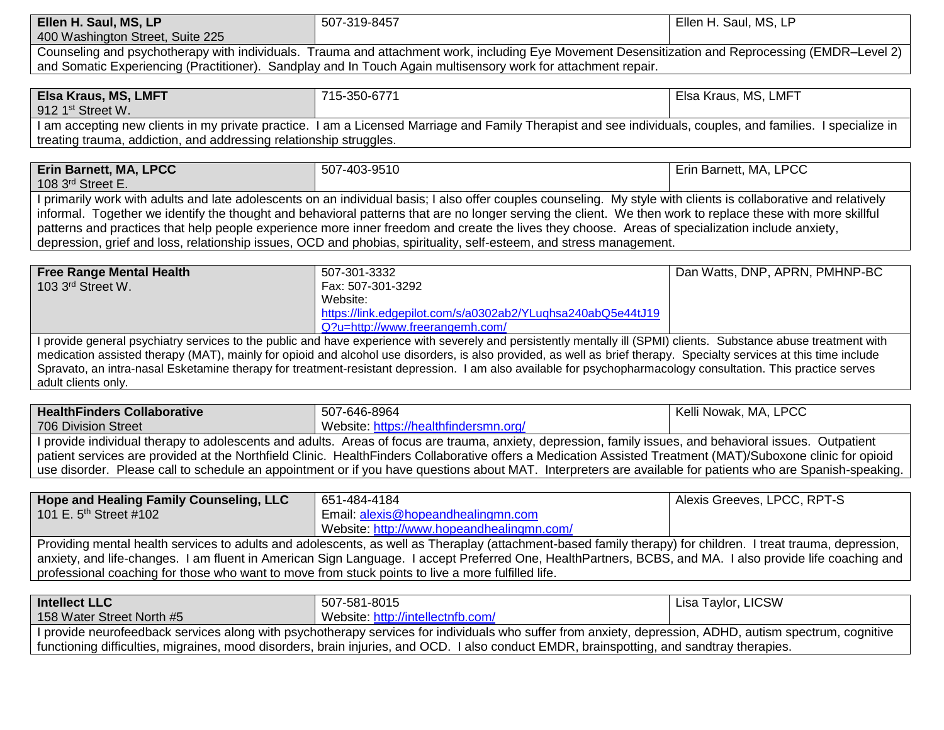| Ellen H. Saul, MS, LP            | 507-319-8457                                                                                                                                      | Ellen H. Saul, MS, LP |
|----------------------------------|---------------------------------------------------------------------------------------------------------------------------------------------------|-----------------------|
| 400 Washington Street, Suite 225 |                                                                                                                                                   |                       |
|                                  | Counseling and psychotherapy with individuals. Trauma and attachment work, including Eye Movement Desensitization and Reprocessing (EMDR–Level 2) |                       |

and Somatic Experiencing (Practitioner). Sandplay and In Touch Again multisensory work for attachment repair.

| <b>Elsa Kraus, MS, LMFT</b>                                        | 715-350-6771                                                                                                                                                 | Elsa Kraus, MS, LMFT |
|--------------------------------------------------------------------|--------------------------------------------------------------------------------------------------------------------------------------------------------------|----------------------|
|                                                                    |                                                                                                                                                              |                      |
| $\vert$ 912 1 <sup>st</sup> Street W.                              |                                                                                                                                                              |                      |
|                                                                    | I am accepting new clients in my private practice. I am a Licensed Marriage and Family Therapist and see individuals, couples, and families. I specialize in |                      |
| treating trauma, addiction, and addressing relationship struggles. |                                                                                                                                                              |                      |

| <b>Erin Barnett, MA, LPCC</b>                                                                                                                              | 507-403-9510                                                                                                                                                     | Erin Barnett, MA, LPCC |
|------------------------------------------------------------------------------------------------------------------------------------------------------------|------------------------------------------------------------------------------------------------------------------------------------------------------------------|------------------------|
| 108 3rd Street E.                                                                                                                                          |                                                                                                                                                                  |                        |
|                                                                                                                                                            | I primarily work with adults and late adolescents on an individual basis; I also offer couples counseling. My style with clients is collaborative and relatively |                        |
| informal. Together we identify the thought and behavioral patterns that are no longer serving the client. We then work to replace these with more skillful |                                                                                                                                                                  |                        |
| patterns and practices that help people experience more inner freedom and create the lives they choose. Areas of specialization include anxiety,           |                                                                                                                                                                  |                        |
| depression, grief and loss, relationship issues, OCD and phobias, spirituality, self-esteem, and stress management.                                        |                                                                                                                                                                  |                        |

| Free Range Mental Health<br>103 3rd Street W. | 507-301-3332<br>Fax: 507-301-3292<br>Website:<br>https://link.edgepilot.com/s/a0302ab2/YLughsa240abQ5e44tJ19                                                       | Dan Watts, DNP, APRN, PMHNP-BC |
|-----------------------------------------------|--------------------------------------------------------------------------------------------------------------------------------------------------------------------|--------------------------------|
|                                               | Q?u=http://www.freerangemh.com/                                                                                                                                    |                                |
|                                               | I provide general psychiatry services to the public and have experience with severely and persistently mentally ill (SPMI) clients. Substance abuse treatment with |                                |

medication assisted therapy (MAT), mainly for opioid and alcohol use disorders, is also provided, as well as brief therapy. Specialty services at this time include Spravato, an intra-nasal Esketamine therapy for treatment-resistant depression. I am also available for psychopharmacology consultation. This practice serves adult clients only.

| <b>HealthFinders Collaborative</b> | 507-646-8964                                                                                                                                                | Kelli Nowak, MA, LPCC |
|------------------------------------|-------------------------------------------------------------------------------------------------------------------------------------------------------------|-----------------------|
| 706 Division Street                | Website: https://healthfindersmn.org/                                                                                                                       |                       |
|                                    | I provide individual therapy to adolescents and adults. Areas of focus are trauma, anxiety, depression, family issues, and behavioral issues. Outpatient    |                       |
|                                    | patient services are provided at the Northfield Clinic. HealthFinders Collaborative offers a Medication Assisted Treatment (MAT)/Suboxone clinic for opioid |                       |
|                                    | use disorder. Please call to schedule an appointment or if you have questions about MAT. Interpreters are available for patients who are Spanish-speaking.  |                       |

| Hope and Healing Family Counseling, LLC | 651-484-4184                                                                                                                                                 | Alexis Greeves, LPCC, RPT-S |
|-----------------------------------------|--------------------------------------------------------------------------------------------------------------------------------------------------------------|-----------------------------|
| 101 E. $5^{th}$ Street #102             | Email: alexis@hopeandhealingmn.com                                                                                                                           |                             |
|                                         | Website: http://www.hopeandhealingmn.com/                                                                                                                    |                             |
|                                         | Providing mental health services to adults and adolescents, as well as Theraplay (attachment-based family therapy) for children. I treat trauma, depression, |                             |
|                                         | anxiety, and life-changes. I am fluent in American Sign Language. I accept Preferred One, HealthPartners, BCBS, and MA. I also provide life coaching and     |                             |

professional coaching for those who want to move from stuck points to live a more fulfilled life.

| Intellect LLC                                                                                                                                            | 507-581-8015                      | Lisa Taylor, LICSW |
|----------------------------------------------------------------------------------------------------------------------------------------------------------|-----------------------------------|--------------------|
| 158 Water Street North #5                                                                                                                                | Website: http://intellectnfb.com/ |                    |
| I provide neurofeedback services along with psychotherapy services for individuals who suffer from anxiety, depression, ADHD, autism spectrum, cognitive |                                   |                    |
| functioning difficulties, migraines, mood disorders, brain injuries, and OCD. I also conduct EMDR, brainspotting, and sandtray therapies.                |                                   |                    |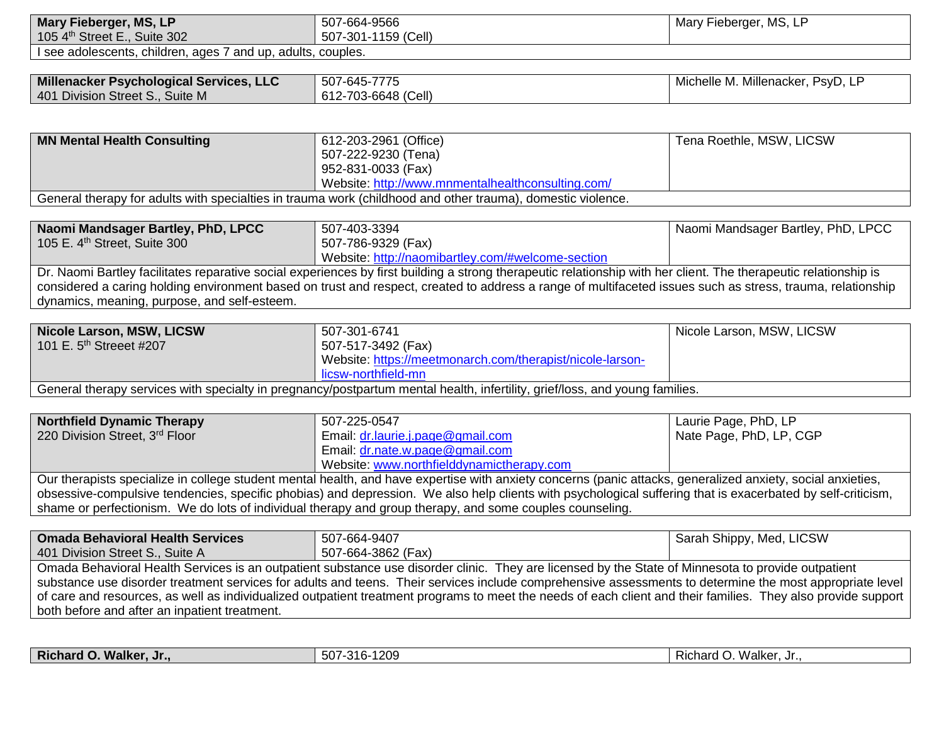| Mary Fieberger, MS, LP                                       | 507-664-9566                                                                                                                                                     | Mary Fieberger, MS, LP             |
|--------------------------------------------------------------|------------------------------------------------------------------------------------------------------------------------------------------------------------------|------------------------------------|
| 105 4th Street E., Suite 302                                 | 507-301-1159 (Cell)                                                                                                                                              |                                    |
| I see adolescents, children, ages 7 and up, adults, couples. |                                                                                                                                                                  |                                    |
|                                                              |                                                                                                                                                                  |                                    |
| Millenacker Psychological Services, LLC                      | 507-645-7775                                                                                                                                                     | Michelle M. Millenacker, PsyD, LP  |
| 401 Division Street S., Suite M                              | 612-703-6648 (Cell)                                                                                                                                              |                                    |
|                                                              |                                                                                                                                                                  |                                    |
| <b>MN Mental Health Consulting</b>                           | 612-203-2961 (Office)                                                                                                                                            | Tena Roethle, MSW, LICSW           |
|                                                              | 507-222-9230 (Tena)                                                                                                                                              |                                    |
|                                                              | 952-831-0033 (Fax)                                                                                                                                               |                                    |
|                                                              | Website: http://www.mnmentalhealthconsulting.com/                                                                                                                |                                    |
|                                                              | General therapy for adults with specialties in trauma work (childhood and other trauma), domestic violence.                                                      |                                    |
|                                                              |                                                                                                                                                                  |                                    |
| Naomi Mandsager Bartley, PhD, LPCC                           | 507-403-3394                                                                                                                                                     | Naomi Mandsager Bartley, PhD, LPCC |
| 105 E. 4 <sup>th</sup> Street, Suite 300                     | 507-786-9329 (Fax)                                                                                                                                               |                                    |
|                                                              | Website: http://naomibartley.com/#welcome-section                                                                                                                |                                    |
|                                                              | Dr. Naomi Bartley facilitates reparative social experiences by first building a strong therapeutic relationship with her client. The therapeutic relationship is |                                    |
|                                                              | considered a caring holding environment based on trust and respect, created to address a range of multifaceted issues such as stress, trauma, relationship       |                                    |
| dynamics, meaning, purpose, and self-esteem.                 |                                                                                                                                                                  |                                    |
|                                                              |                                                                                                                                                                  |                                    |
| Nicole Larson, MSW, LICSW                                    | 507-301-6741                                                                                                                                                     | Nicole Larson, MSW, LICSW          |
| 101 E. 5 <sup>th</sup> Streeet #207                          | 507-517-3492 (Fax)                                                                                                                                               |                                    |
|                                                              | Website: https://meetmonarch.com/therapist/nicole-larson-                                                                                                        |                                    |
|                                                              | licsw-northfield-mn                                                                                                                                              |                                    |
|                                                              | General therapy services with specialty in pregnancy/postpartum mental health, infertility, grief/loss, and young families.                                      |                                    |
|                                                              |                                                                                                                                                                  |                                    |
| <b>Northfield Dynamic Therapy</b>                            | 507-225-0547                                                                                                                                                     | Laurie Page, PhD, LP               |
| 220 Division Street, 3rd Floor                               | Email: dr.laurie.j.page@gmail.com                                                                                                                                | Nate Page, PhD, LP, CGP            |
|                                                              | Email: dr.nate.w.page@gmail.com                                                                                                                                  |                                    |
|                                                              | Website: www.northfielddynamictherapy.com                                                                                                                        |                                    |
|                                                              | Our therapists specialize in college student mental health, and have expertise with anxiety concerns (panic attacks, generalized anxiety, social anxieties,      |                                    |
|                                                              | obsessive-compulsive tendencies, specific phobias) and depression. We also help clients with psychological suffering that is exacerbated by self-criticism,      |                                    |
|                                                              | shame or perfectionism. We do lots of individual therapy and group therapy, and some couples counseling.                                                         |                                    |

| <b>Omada Behavioral Health Services</b>                                                                                                                       | 507-664-9407                                                                                                                                       | Sarah Shippy, Med, LICSW |
|---------------------------------------------------------------------------------------------------------------------------------------------------------------|----------------------------------------------------------------------------------------------------------------------------------------------------|--------------------------|
| 401 Division Street S., Suite A                                                                                                                               | 507-664-3862 (Fax)                                                                                                                                 |                          |
|                                                                                                                                                               | Omada Behavioral Health Services is an outpatient substance use disorder clinic. They are licensed by the State of Minnesota to provide outpatient |                          |
| substance use disorder treatment services for adults and teens. Their services include comprehensive assessments to determine the most appropriate level      |                                                                                                                                                    |                          |
| of care and resources, as well as individualized outpatient treatment programs to meet the needs of each client and their families. They also provide support |                                                                                                                                                    |                          |
| both before and after an inpatient treatment.                                                                                                                 |                                                                                                                                                    |                          |

| <b>Richard O.</b><br>100 <sup>o</sup><br>Nalker, Jr.,<br>Walker<br>-316-<br><b>EC</b><br>∵∿nard ∪.<br>⊺∠ບະ<br>.o∪<br>IN IL. |
|-----------------------------------------------------------------------------------------------------------------------------|
|-----------------------------------------------------------------------------------------------------------------------------|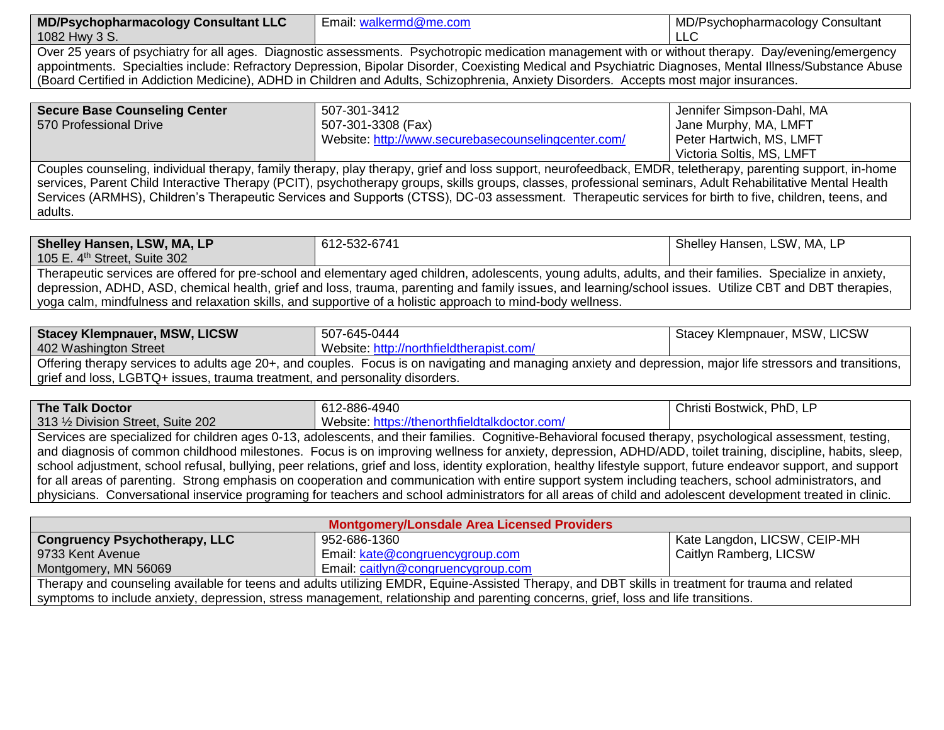| <b>MD/P</b><br>Psychopharmacology Consultant LLC | :maı<br>alke<br>nd@me.com | MD/Psychopharmacology<br>/ Consultant |
|--------------------------------------------------|---------------------------|---------------------------------------|
| 1082 Hwy<br>.ა ა.                                |                           | └└                                    |
| --<br>$\sim$<br>___                              |                           |                                       |

Over 25 years of psychiatry for all ages. Diagnostic assessments. Psychotropic medication management with or without therapy. Day/evening/emergency appointments. Specialties include: Refractory Depression, Bipolar Disorder, Coexisting Medical and Psychiatric Diagnoses, Mental Illness/Substance Abuse (Board Certified in Addiction Medicine), ADHD in Children and Adults, Schizophrenia, Anxiety Disorders. Accepts most major insurances.

| <b>Secure Base Counseling Center</b>                                                                                                                       | 507-301-3412                                        | Jennifer Simpson-Dahl, MA |
|------------------------------------------------------------------------------------------------------------------------------------------------------------|-----------------------------------------------------|---------------------------|
| 570 Professional Drive                                                                                                                                     | 507-301-3308 (Fax)                                  | Jane Murphy, MA, LMFT     |
|                                                                                                                                                            | Website: http://www.securebasecounselingcenter.com/ | Peter Hartwich, MS, LMFT  |
|                                                                                                                                                            |                                                     | Victoria Soltis, MS, LMFT |
| Couples counseling, individual therapy, family therapy, play therapy, grief and loss support, neurofeedback, EMDR, teletherapy, parenting support, in-home |                                                     |                           |
| services, Parent Child Interactive Therapy (PCIT), psychotherapy groups, skills groups, classes, professional seminars, Adult Rehabilitative Mental Health |                                                     |                           |
| Services (ARMHS), Children's Therapeutic Services and Supports (CTSS), DC-03 assessment. Therapeutic services for birth to five, children, teens, and      |                                                     |                           |

adults.

| Shelley Hansen, LSW, MA, LP                                                                                                                                 | 612-532-6741 | Shelley Hansen, LSW, MA, LP |
|-------------------------------------------------------------------------------------------------------------------------------------------------------------|--------------|-----------------------------|
| 105 E. $4th$ Street, Suite 302                                                                                                                              |              |                             |
| Therapeutic services are offered for pre-school and elementary aged children, adolescents, young adults, adults, and their families. Specialize in anxiety, |              |                             |
| depression, ADHD, ASD, chemical health, grief and loss, trauma, parenting and family issues, and learning/school issues. Utilize CBT and DBT therapies,     |              |                             |
| yoga calm, mindfulness and relaxation skills, and supportive of a holistic approach to mind-body wellness.                                                  |              |                             |

| <b>Stacey Klempnauer, MSW, LICSW</b>                                                                                                                        | 507-645-0444                             | Stacey Klempnauer, MSW, LICSW |
|-------------------------------------------------------------------------------------------------------------------------------------------------------------|------------------------------------------|-------------------------------|
| 402 Washington Street                                                                                                                                       | Website: http://northfieldtherapist.com/ |                               |
| Offering therapy services to adults age 20+, and couples. Focus is on navigating and managing anxiety and depression, major life stressors and transitions, |                                          |                               |

grief and loss, LGBTQ+ issues, trauma treatment, and personality disorders.

| The Talk Doctor                                                                                                                                             | 612-886-4940                                                                                                                                                       | Christi Bostwick, PhD, LP |
|-------------------------------------------------------------------------------------------------------------------------------------------------------------|--------------------------------------------------------------------------------------------------------------------------------------------------------------------|---------------------------|
| 313 1/2 Division Street, Suite 202                                                                                                                          | Website: https://thenorthfieldtalkdoctor.com/                                                                                                                      |                           |
|                                                                                                                                                             | Services are specialized for children ages 0-13, adolescents, and their families. Cognitive-Behavioral focused therapy, psychological assessment, testing,         |                           |
| and diagnosis of common childhood milestones. Focus is on improving wellness for anxiety, depression, ADHD/ADD, toilet training, discipline, habits, sleep, |                                                                                                                                                                    |                           |
|                                                                                                                                                             | school adjustment, school refusal, bullying, peer relations, grief and loss, identity exploration, healthy lifestyle support, future endeavor support, and support |                           |
| for all areas of parenting. Strong emphasis on cooperation and communication with entire support system including teachers, school administrators, and      |                                                                                                                                                                    |                           |
|                                                                                                                                                             | physicians. Conversational inservice programing for teachers and school administrators for all areas of child and adolescent development treated in clinic.        |                           |

| Montgomery/Lonsdale Area Licensed Providers                                                                                                       |                                    |                              |
|---------------------------------------------------------------------------------------------------------------------------------------------------|------------------------------------|------------------------------|
| <b>Congruency Psychotherapy, LLC</b>                                                                                                              | 952-686-1360                       | Kate Langdon, LICSW, CEIP-MH |
| 9733 Kent Avenue                                                                                                                                  | Email: kate@congruencygroup.com    | Caitlyn Ramberg, LICSW       |
| Montgomery, MN 56069                                                                                                                              | Email: caitlyn@congruencygroup.com |                              |
| Therapy and counseling available for teens and adults utilizing EMDR, Equine-Assisted Therapy, and DBT skills in treatment for trauma and related |                                    |                              |
| symptoms to include anxiety, depression, stress management, relationship and parenting concerns, grief, loss and life transitions.                |                                    |                              |